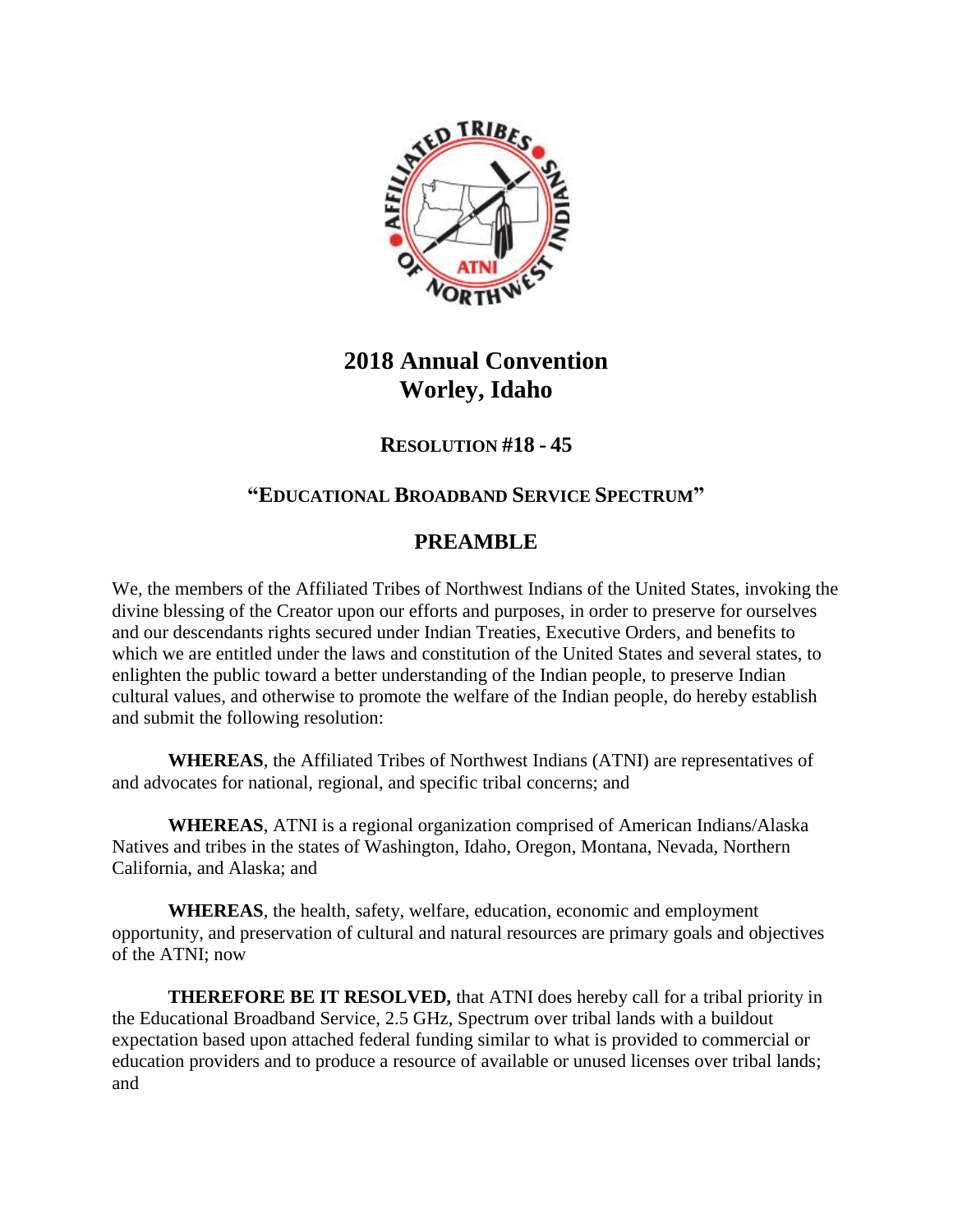

# **2018 Annual Convention Worley, Idaho**

## **RESOLUTION #18 - 45**

## **"EDUCATIONAL BROADBAND SERVICE SPECTRUM"**

## **PREAMBLE**

We, the members of the Affiliated Tribes of Northwest Indians of the United States, invoking the divine blessing of the Creator upon our efforts and purposes, in order to preserve for ourselves and our descendants rights secured under Indian Treaties, Executive Orders, and benefits to which we are entitled under the laws and constitution of the United States and several states, to enlighten the public toward a better understanding of the Indian people, to preserve Indian cultural values, and otherwise to promote the welfare of the Indian people, do hereby establish and submit the following resolution:

**WHEREAS**, the Affiliated Tribes of Northwest Indians (ATNI) are representatives of and advocates for national, regional, and specific tribal concerns; and

**WHEREAS**, ATNI is a regional organization comprised of American Indians/Alaska Natives and tribes in the states of Washington, Idaho, Oregon, Montana, Nevada, Northern California, and Alaska; and

**WHEREAS**, the health, safety, welfare, education, economic and employment opportunity, and preservation of cultural and natural resources are primary goals and objectives of the ATNI; now

**THEREFORE BE IT RESOLVED,** that ATNI does hereby call for a tribal priority in the Educational Broadband Service, 2.5 GHz, Spectrum over tribal lands with a buildout expectation based upon attached federal funding similar to what is provided to commercial or education providers and to produce a resource of available or unused licenses over tribal lands; and